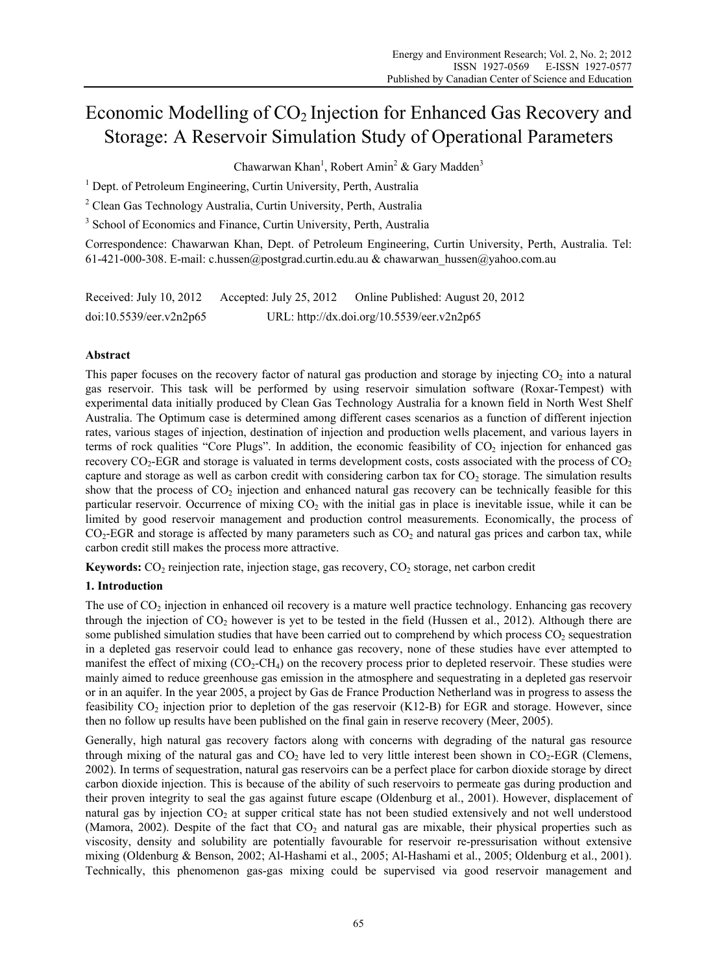# Economic Modelling of CO<sub>2</sub> Injection for Enhanced Gas Recovery and Storage: A Reservoir Simulation Study of Operational Parameters

Chawarwan Khan<sup>1</sup>, Robert Amin<sup>2</sup> & Gary Madden<sup>3</sup>

<sup>1</sup> Dept. of Petroleum Engineering, Curtin University, Perth, Australia

<sup>2</sup> Clean Gas Technology Australia, Curtin University, Perth, Australia

<sup>3</sup> School of Economics and Finance, Curtin University, Perth, Australia

Correspondence: Chawarwan Khan, Dept. of Petroleum Engineering, Curtin University, Perth, Australia. Tel: 61-421-000-308. E-mail: c.hussen@postgrad.curtin.edu.au & chawarwan\_hussen@yahoo.com.au

| Received: July 10, $2012$ | Accepted: July 25, 2012 | Online Published: August 20, 2012          |
|---------------------------|-------------------------|--------------------------------------------|
| doi:10.5539/eer.v2n2p65   |                         | URL: http://dx.doi.org/10.5539/eer.v2n2p65 |

# **Abstract**

This paper focuses on the recovery factor of natural gas production and storage by injecting  $CO<sub>2</sub>$  into a natural gas reservoir. This task will be performed by using reservoir simulation software (Roxar-Tempest) with experimental data initially produced by Clean Gas Technology Australia for a known field in North West Shelf Australia. The Optimum case is determined among different cases scenarios as a function of different injection rates, various stages of injection, destination of injection and production wells placement, and various layers in terms of rock qualities "Core Plugs". In addition, the economic feasibility of  $CO<sub>2</sub>$  injection for enhanced gas recovery  $CO<sub>2</sub>$ -EGR and storage is valuated in terms development costs, costs associated with the process of  $CO<sub>2</sub>$ capture and storage as well as carbon credit with considering carbon tax for  $CO<sub>2</sub>$  storage. The simulation results show that the process of CO<sub>2</sub> injection and enhanced natural gas recovery can be technically feasible for this particular reservoir. Occurrence of mixing  $CO<sub>2</sub>$  with the initial gas in place is inevitable issue, while it can be limited by good reservoir management and production control measurements. Economically, the process of  $CO<sub>2</sub>$ -EGR and storage is affected by many parameters such as  $CO<sub>2</sub>$  and natural gas prices and carbon tax, while carbon credit still makes the process more attractive.

Keywords: CO<sub>2</sub> reinjection rate, injection stage, gas recovery, CO<sub>2</sub> storage, net carbon credit

# **1. Introduction**

The use of  $CO<sub>2</sub>$  injection in enhanced oil recovery is a mature well practice technology. Enhancing gas recovery through the injection of  $CO<sub>2</sub>$  however is yet to be tested in the field (Hussen et al., 2012). Although there are some published simulation studies that have been carried out to comprehend by which process CO<sub>2</sub> sequestration in a depleted gas reservoir could lead to enhance gas recovery, none of these studies have ever attempted to manifest the effect of mixing  $(CO_2-CH_4)$  on the recovery process prior to depleted reservoir. These studies were mainly aimed to reduce greenhouse gas emission in the atmosphere and sequestrating in a depleted gas reservoir or in an aquifer. In the year 2005, a project by Gas de France Production Netherland was in progress to assess the feasibility  $CO<sub>2</sub>$  injection prior to depletion of the gas reservoir (K12-B) for EGR and storage. However, since then no follow up results have been published on the final gain in reserve recovery (Meer, 2005).

Generally, high natural gas recovery factors along with concerns with degrading of the natural gas resource through mixing of the natural gas and  $CO<sub>2</sub>$  have led to very little interest been shown in  $CO<sub>2</sub>-EGR$  (Clemens, 2002). In terms of sequestration, natural gas reservoirs can be a perfect place for carbon dioxide storage by direct carbon dioxide injection. This is because of the ability of such reservoirs to permeate gas during production and their proven integrity to seal the gas against future escape (Oldenburg et al., 2001). However, displacement of natural gas by injection  $CO<sub>2</sub>$  at supper critical state has not been studied extensively and not well understood (Mamora, 2002). Despite of the fact that  $CO<sub>2</sub>$  and natural gas are mixable, their physical properties such as viscosity, density and solubility are potentially favourable for reservoir re-pressurisation without extensive mixing (Oldenburg & Benson, 2002; Al-Hashami et al., 2005; Al-Hashami et al., 2005; Oldenburg et al., 2001). Technically, this phenomenon gas-gas mixing could be supervised via good reservoir management and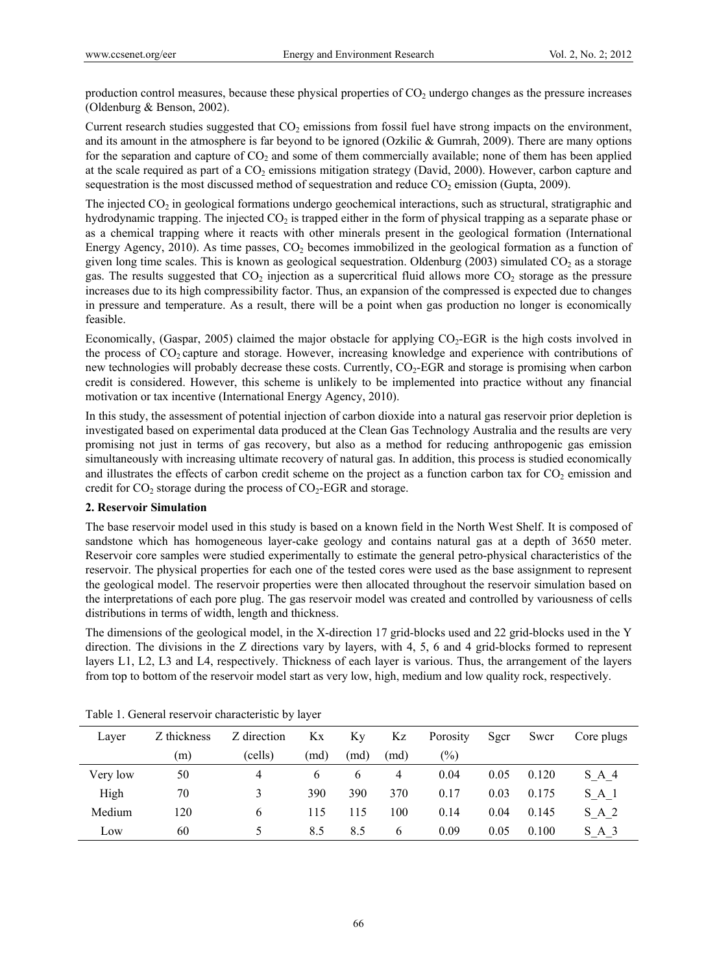production control measures, because these physical properties of  $CO<sub>2</sub>$  undergo changes as the pressure increases (Oldenburg & Benson, 2002).

Current research studies suggested that  $CO<sub>2</sub>$  emissions from fossil fuel have strong impacts on the environment, and its amount in the atmosphere is far beyond to be ignored (Ozkilic  $& Gunnah$ , 2009). There are many options for the separation and capture of  $CO<sub>2</sub>$  and some of them commercially available; none of them has been applied at the scale required as part of a  $CO<sub>2</sub>$  emissions mitigation strategy (David, 2000). However, carbon capture and sequestration is the most discussed method of sequestration and reduce  $CO<sub>2</sub>$  emission (Gupta, 2009).

The injected  $CO<sub>2</sub>$  in geological formations undergo geochemical interactions, such as structural, stratigraphic and hydrodynamic trapping. The injected  $CO<sub>2</sub>$  is trapped either in the form of physical trapping as a separate phase or as a chemical trapping where it reacts with other minerals present in the geological formation (International Energy Agency, 2010). As time passes,  $CO<sub>2</sub>$  becomes immobilized in the geological formation as a function of given long time scales. This is known as geological sequestration. Oldenburg  $(2003)$  simulated CO<sub>2</sub> as a storage gas. The results suggested that  $CO<sub>2</sub>$  injection as a supercritical fluid allows more  $CO<sub>2</sub>$  storage as the pressure increases due to its high compressibility factor. Thus, an expansion of the compressed is expected due to changes in pressure and temperature. As a result, there will be a point when gas production no longer is economically feasible.

Economically, (Gaspar, 2005) claimed the major obstacle for applying  $CO<sub>2</sub>$ -EGR is the high costs involved in the process of  $CO<sub>2</sub>$  capture and storage. However, increasing knowledge and experience with contributions of new technologies will probably decrease these costs. Currently,  $CO<sub>2</sub>-EGR$  and storage is promising when carbon credit is considered. However, this scheme is unlikely to be implemented into practice without any financial motivation or tax incentive (International Energy Agency, 2010).

In this study, the assessment of potential injection of carbon dioxide into a natural gas reservoir prior depletion is investigated based on experimental data produced at the Clean Gas Technology Australia and the results are very promising not just in terms of gas recovery, but also as a method for reducing anthropogenic gas emission simultaneously with increasing ultimate recovery of natural gas. In addition, this process is studied economically and illustrates the effects of carbon credit scheme on the project as a function carbon tax for  $CO<sub>2</sub>$  emission and credit for  $CO_2$  storage during the process of  $CO_2$ -EGR and storage.

## **2. Reservoir Simulation**

The base reservoir model used in this study is based on a known field in the North West Shelf. It is composed of sandstone which has homogeneous layer-cake geology and contains natural gas at a depth of 3650 meter. Reservoir core samples were studied experimentally to estimate the general petro-physical characteristics of the reservoir. The physical properties for each one of the tested cores were used as the base assignment to represent the geological model. The reservoir properties were then allocated throughout the reservoir simulation based on the interpretations of each pore plug. The gas reservoir model was created and controlled by variousness of cells distributions in terms of width, length and thickness.

The dimensions of the geological model, in the X-direction 17 grid-blocks used and 22 grid-blocks used in the Y direction. The divisions in the Z directions vary by layers, with 4, 5, 6 and 4 grid-blocks formed to represent layers L1, L2, L3 and L4, respectively. Thickness of each layer is various. Thus, the arrangement of the layers from top to bottom of the reservoir model start as very low, high, medium and low quality rock, respectively.

| Laver    | Z thickness | Z direction | Kx   | Kу   | Kz       | Porosity | Sgcr | Swcr  | Core plugs      |
|----------|-------------|-------------|------|------|----------|----------|------|-------|-----------------|
|          | (m)         | (cells)     | (md) | (md) | (md)     | $(\%)$   |      |       |                 |
| Very low | 50          | 4           | 6    | 6    | 4        | 0.04     | 0.05 | 0.120 | S A 4           |
| High     | 70          | 3           | 390  | 390  | 370      | 0.17     | 0.03 | 0.175 | SA <sub>1</sub> |
| Medium   | 120         | 6           | 115  | 115  | 100      | 0.14     | 0.04 | 0.145 | S A 2           |
| Low      | 60          | ↖           | 8.5  | 8.5  | $\sigma$ | 0.09     | 0.05 | 0.100 | $S$ A 3         |

Table 1. General reservoir characteristic by layer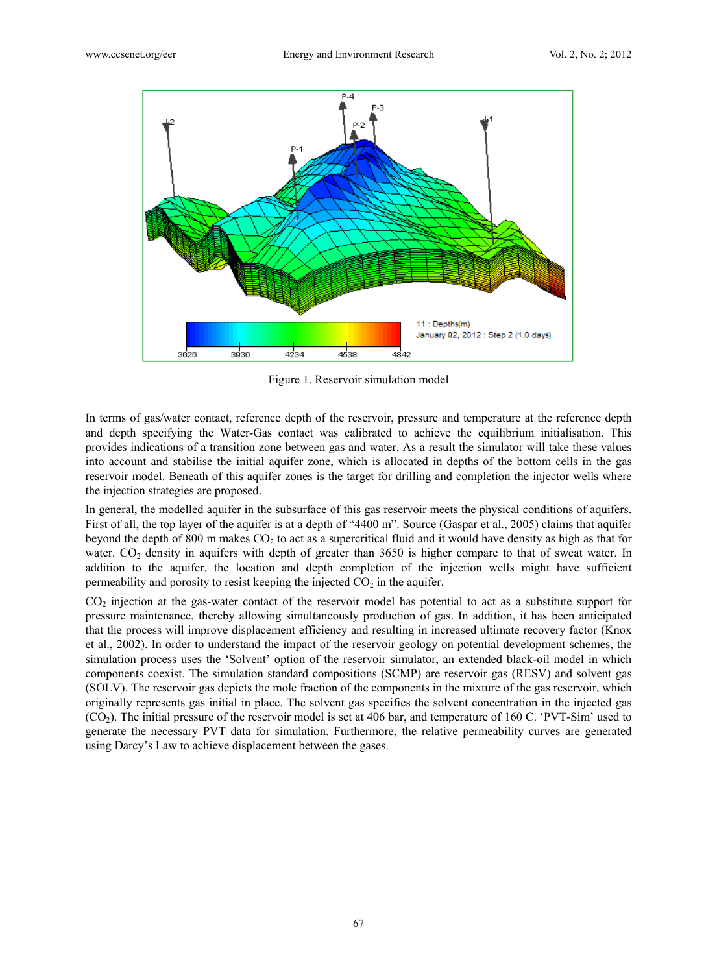

Figure 1. Reservoir simulation model

In terms of gas/water contact, reference depth of the reservoir, pressure and temperature at the reference depth and depth specifying the Water-Gas contact was calibrated to achieve the equilibrium initialisation. This provides indications of a transition zone between gas and water. As a result the simulator will take these values into account and stabilise the initial aquifer zone, which is allocated in depths of the bottom cells in the gas reservoir model. Beneath of this aquifer zones is the target for drilling and completion the injector wells where the injection strategies are proposed.

In general, the modelled aquifer in the subsurface of this gas reservoir meets the physical conditions of aquifers. First of all, the top layer of the aquifer is at a depth of "4400 m". Source (Gaspar et al., 2005) claims that aquifer beyond the depth of 800 m makes CO2 to act as a supercritical fluid and it would have density as high as that for water. CO<sub>2</sub> density in aquifers with depth of greater than 3650 is higher compare to that of sweat water. In addition to the aquifer, the location and depth completion of the injection wells might have sufficient permeability and porosity to resist keeping the injected  $CO<sub>2</sub>$  in the aquifer.

CO2 injection at the gas-water contact of the reservoir model has potential to act as a substitute support for pressure maintenance, thereby allowing simultaneously production of gas. In addition, it has been anticipated that the process will improve displacement efficiency and resulting in increased ultimate recovery factor (Knox et al., 2002). In order to understand the impact of the reservoir geology on potential development schemes, the simulation process uses the 'Solvent' option of the reservoir simulator, an extended black-oil model in which components coexist. The simulation standard compositions (SCMP) are reservoir gas (RESV) and solvent gas (SOLV). The reservoir gas depicts the mole fraction of the components in the mixture of the gas reservoir, which originally represents gas initial in place. The solvent gas specifies the solvent concentration in the injected gas (CO2). The initial pressure of the reservoir model is set at 406 bar, and temperature of 160 C. 'PVT-Sim' used to generate the necessary PVT data for simulation. Furthermore, the relative permeability curves are generated using Darcy's Law to achieve displacement between the gases.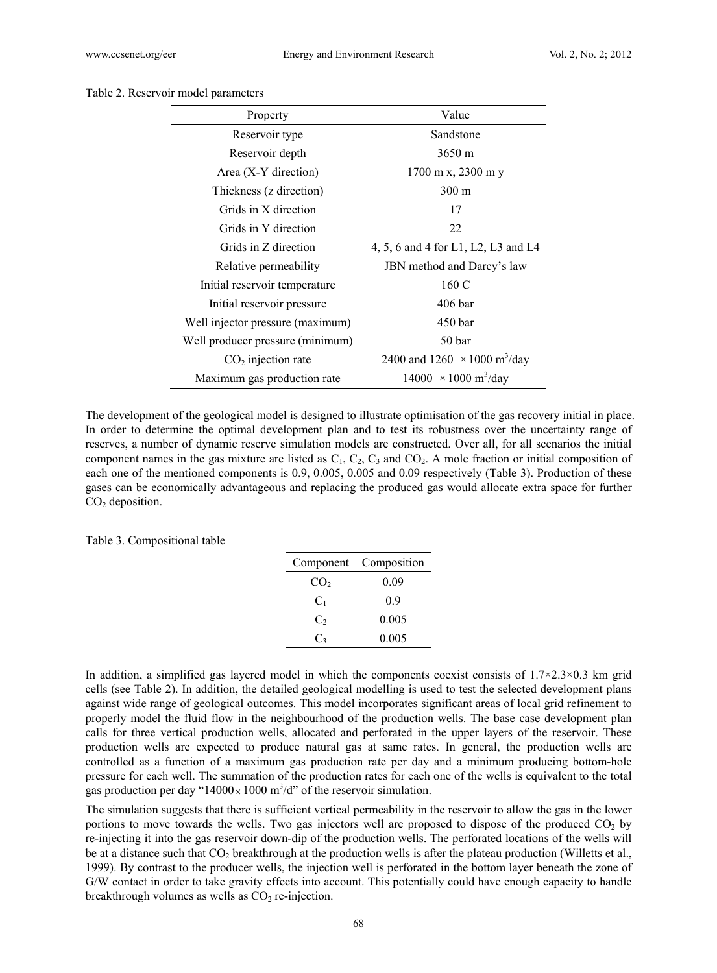#### Table 2. Reservoir model parameters

| Property                         | Value                                           |  |  |  |  |
|----------------------------------|-------------------------------------------------|--|--|--|--|
| Reservoir type                   | Sandstone                                       |  |  |  |  |
| Reservoir depth                  | $3650 \,\mathrm{m}$                             |  |  |  |  |
| Area $(X-Y)$ direction)          | $1700 \text{ m}$ x, 2300 m y                    |  |  |  |  |
| Thickness (z direction)          | $300 \text{ m}$                                 |  |  |  |  |
| Grids in X direction             | 17                                              |  |  |  |  |
| Grids in Y direction             | 22                                              |  |  |  |  |
| Grids in Z direction             | 4, 5, 6 and 4 for L1, L2, L3 and L4             |  |  |  |  |
| Relative permeability            | JBN method and Darcy's law                      |  |  |  |  |
| Initial reservoir temperature    | 160 C                                           |  |  |  |  |
| Initial reservoir pressure       | $406$ bar                                       |  |  |  |  |
| Well injector pressure (maximum) | 450 bar                                         |  |  |  |  |
| Well producer pressure (minimum) | 50 <sub>bar</sub>                               |  |  |  |  |
| $CO2$ injection rate             | 2400 and 1260 $\times$ 1000 m <sup>3</sup> /day |  |  |  |  |
| Maximum gas production rate      | $14000 \times 1000 \text{ m}^3/\text{day}$      |  |  |  |  |

The development of the geological model is designed to illustrate optimisation of the gas recovery initial in place. In order to determine the optimal development plan and to test its robustness over the uncertainty range of reserves, a number of dynamic reserve simulation models are constructed. Over all, for all scenarios the initial component names in the gas mixture are listed as  $C_1$ ,  $C_2$ ,  $C_3$  and  $CO_2$ . A mole fraction or initial composition of each one of the mentioned components is 0.9, 0.005, 0.005 and 0.09 respectively (Table 3). Production of these gases can be economically advantageous and replacing the produced gas would allocate extra space for further  $CO<sub>2</sub>$  deposition.

|  | Table 3. Compositional table |  |
|--|------------------------------|--|
|--|------------------------------|--|

|                 | Component Composition |
|-----------------|-----------------------|
| CO <sub>2</sub> | 0.09                  |
| C <sub>1</sub>  | 09                    |
| $C_{2}$         | 0.005                 |
| C3              | 0.005                 |

In addition, a simplified gas layered model in which the components coexist consists of  $1.7\times2.3\times0.3$  km grid cells (see Table 2). In addition, the detailed geological modelling is used to test the selected development plans against wide range of geological outcomes. This model incorporates significant areas of local grid refinement to properly model the fluid flow in the neighbourhood of the production wells. The base case development plan calls for three vertical production wells, allocated and perforated in the upper layers of the reservoir. These production wells are expected to produce natural gas at same rates. In general, the production wells are controlled as a function of a maximum gas production rate per day and a minimum producing bottom-hole pressure for each well. The summation of the production rates for each one of the wells is equivalent to the total gas production per day "14000 $\times$ 1000 m<sup>3</sup>/d" of the reservoir simulation.

The simulation suggests that there is sufficient vertical permeability in the reservoir to allow the gas in the lower portions to move towards the wells. Two gas injectors well are proposed to dispose of the produced  $CO<sub>2</sub>$  by re-injecting it into the gas reservoir down-dip of the production wells. The perforated locations of the wells will be at a distance such that  $CO<sub>2</sub>$  breakthrough at the production wells is after the plateau production (Willetts et al., 1999). By contrast to the producer wells, the injection well is perforated in the bottom layer beneath the zone of G/W contact in order to take gravity effects into account. This potentially could have enough capacity to handle breakthrough volumes as wells as  $CO<sub>2</sub>$  re-injection.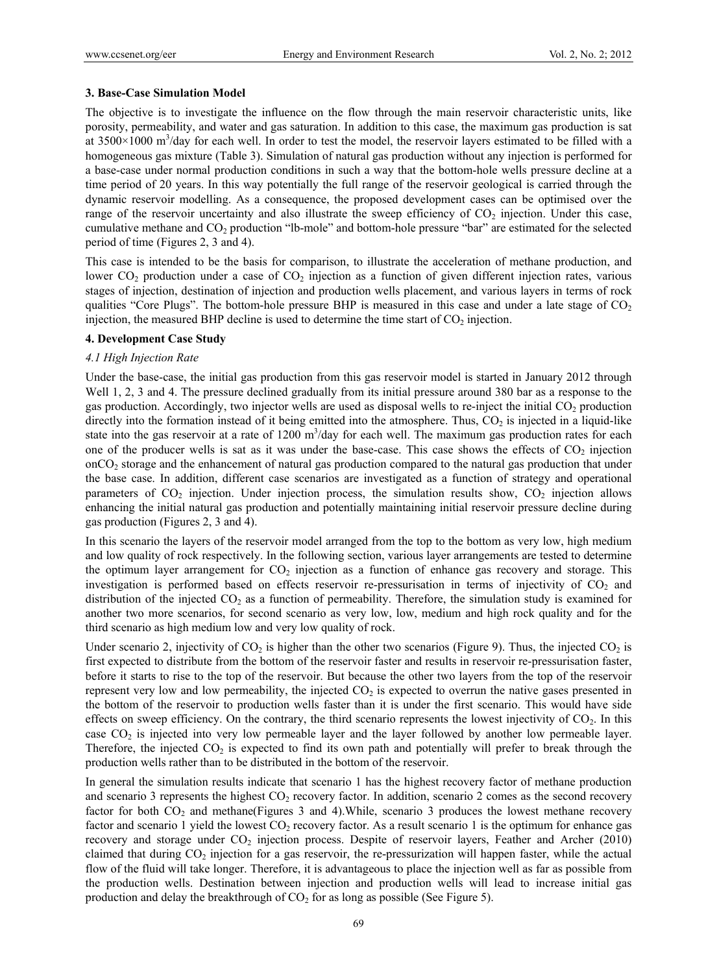## **3. Base-Case Simulation Model**

The objective is to investigate the influence on the flow through the main reservoir characteristic units, like porosity, permeability, and water and gas saturation. In addition to this case, the maximum gas production is sat at  $3500 \times 1000$  m<sup>3</sup>/day for each well. In order to test the model, the reservoir layers estimated to be filled with a homogeneous gas mixture (Table 3). Simulation of natural gas production without any injection is performed for a base-case under normal production conditions in such a way that the bottom-hole wells pressure decline at a time period of 20 years. In this way potentially the full range of the reservoir geological is carried through the dynamic reservoir modelling. As a consequence, the proposed development cases can be optimised over the range of the reservoir uncertainty and also illustrate the sweep efficiency of  $CO<sub>2</sub>$  injection. Under this case, cumulative methane and CO2 production "lb-mole" and bottom-hole pressure "bar" are estimated for the selected period of time (Figures 2, 3 and 4).

This case is intended to be the basis for comparison, to illustrate the acceleration of methane production, and lower  $CO_2$  production under a case of  $CO_2$  injection as a function of given different injection rates, various stages of injection, destination of injection and production wells placement, and various layers in terms of rock qualities "Core Plugs". The bottom-hole pressure BHP is measured in this case and under a late stage of  $CO<sub>2</sub>$ injection, the measured BHP decline is used to determine the time start of  $CO<sub>2</sub>$  injection.

# **4. Development Case Study**

## *4.1 High Injection Rate*

Under the base-case, the initial gas production from this gas reservoir model is started in January 2012 through Well 1, 2, 3 and 4. The pressure declined gradually from its initial pressure around 380 bar as a response to the gas production. Accordingly, two injector wells are used as disposal wells to re-inject the initial  $CO<sub>2</sub>$  production directly into the formation instead of it being emitted into the atmosphere. Thus,  $CO<sub>2</sub>$  is injected in a liquid-like state into the gas reservoir at a rate of  $1200 \text{ m}^3/\text{day}$  for each well. The maximum gas production rates for each one of the producer wells is sat as it was under the base-case. This case shows the effects of  $CO<sub>2</sub>$  injection  $\rm{onCO}_2$  storage and the enhancement of natural gas production compared to the natural gas production that under the base case. In addition, different case scenarios are investigated as a function of strategy and operational parameters of  $CO<sub>2</sub>$  injection. Under injection process, the simulation results show,  $CO<sub>2</sub>$  injection allows enhancing the initial natural gas production and potentially maintaining initial reservoir pressure decline during gas production (Figures 2, 3 and 4).

In this scenario the layers of the reservoir model arranged from the top to the bottom as very low, high medium and low quality of rock respectively. In the following section, various layer arrangements are tested to determine the optimum layer arrangement for  $CO<sub>2</sub>$  injection as a function of enhance gas recovery and storage. This investigation is performed based on effects reservoir re-pressurisation in terms of injectivity of  $CO<sub>2</sub>$  and distribution of the injected  $CO<sub>2</sub>$  as a function of permeability. Therefore, the simulation study is examined for another two more scenarios, for second scenario as very low, low, medium and high rock quality and for the third scenario as high medium low and very low quality of rock.

Under scenario 2, injectivity of  $CO_2$  is higher than the other two scenarios (Figure 9). Thus, the injected  $CO_2$  is first expected to distribute from the bottom of the reservoir faster and results in reservoir re-pressurisation faster, before it starts to rise to the top of the reservoir. But because the other two layers from the top of the reservoir represent very low and low permeability, the injected  $CO<sub>2</sub>$  is expected to overrun the native gases presented in the bottom of the reservoir to production wells faster than it is under the first scenario. This would have side effects on sweep efficiency. On the contrary, the third scenario represents the lowest injectivity of  $CO<sub>2</sub>$ . In this case CO2 is injected into very low permeable layer and the layer followed by another low permeable layer. Therefore, the injected  $CO<sub>2</sub>$  is expected to find its own path and potentially will prefer to break through the production wells rather than to be distributed in the bottom of the reservoir.

In general the simulation results indicate that scenario 1 has the highest recovery factor of methane production and scenario 3 represents the highest  $CO<sub>2</sub>$  recovery factor. In addition, scenario 2 comes as the second recovery factor for both CO<sub>2</sub> and methane(Figures 3 and 4). While, scenario 3 produces the lowest methane recovery factor and scenario 1 yield the lowest  $CO<sub>2</sub>$  recovery factor. As a result scenario 1 is the optimum for enhance gas recovery and storage under  $CO<sub>2</sub>$  injection process. Despite of reservoir layers, Feather and Archer (2010) claimed that during CO2 injection for a gas reservoir, the re-pressurization will happen faster, while the actual flow of the fluid will take longer. Therefore, it is advantageous to place the injection well as far as possible from the production wells. Destination between injection and production wells will lead to increase initial gas production and delay the breakthrough of  $CO<sub>2</sub>$  for as long as possible (See Figure 5).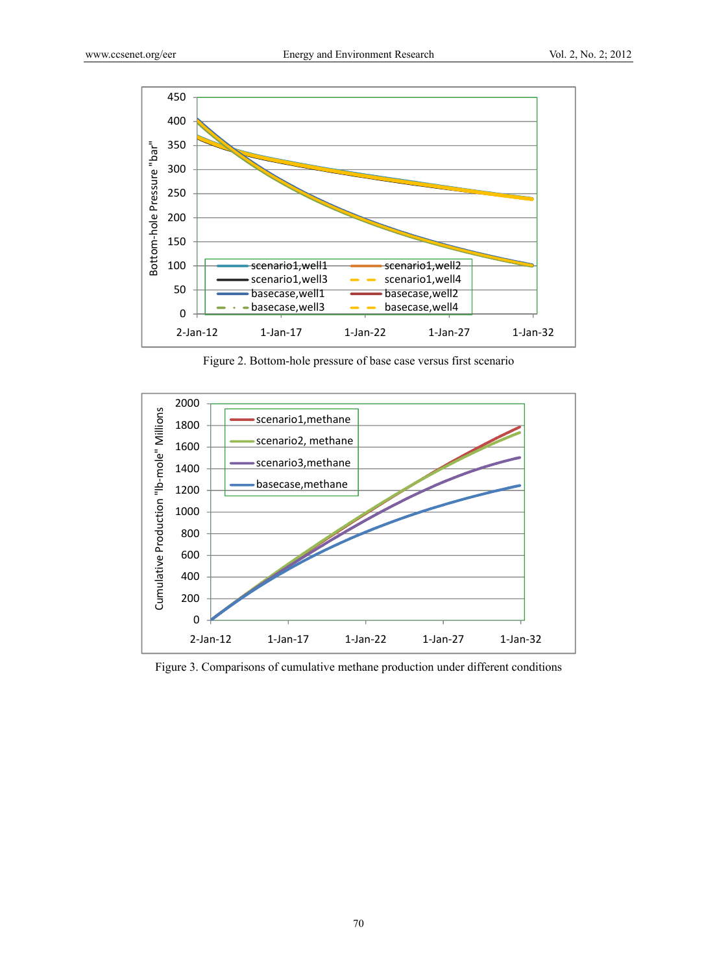

Figure 2. Bottom-hole pressure of base case versus first scenario



Figure 3. Comparisons of cumulative methane production under different conditions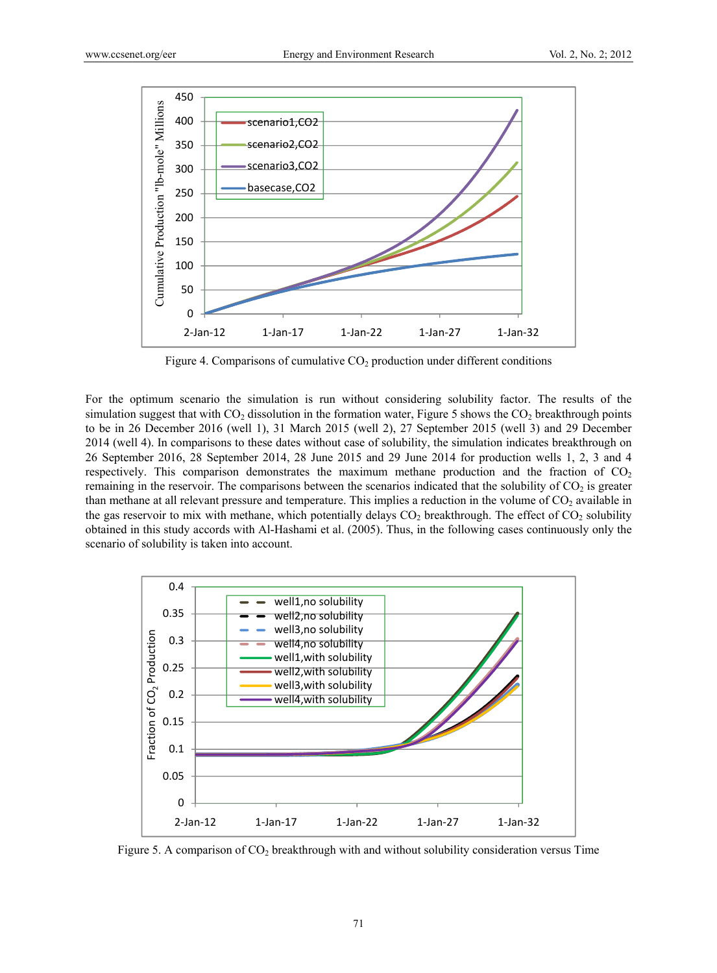

Figure 4. Comparisons of cumulative  $CO<sub>2</sub>$  production under different conditions

For the optimum scenario the simulation is run without considering solubility factor. The results of the simulation suggest that with  $CO<sub>2</sub>$  dissolution in the formation water, Figure 5 shows the  $CO<sub>2</sub>$  breakthrough points to be in 26 December 2016 (well 1), 31 March 2015 (well 2), 27 September 2015 (well 3) and 29 December 2014 (well 4). In comparisons to these dates without case of solubility, the simulation indicates breakthrough on 26 September 2016, 28 September 2014, 28 June 2015 and 29 June 2014 for production wells 1, 2, 3 and 4 respectively. This comparison demonstrates the maximum methane production and the fraction of  $CO<sub>2</sub>$ remaining in the reservoir. The comparisons between the scenarios indicated that the solubility of CO<sub>2</sub> is greater than methane at all relevant pressure and temperature. This implies a reduction in the volume of  $CO<sub>2</sub>$  available in the gas reservoir to mix with methane, which potentially delays  $CO<sub>2</sub>$  breakthrough. The effect of  $CO<sub>2</sub>$  solubility obtained in this study accords with Al-Hashami et al. (2005). Thus, in the following cases continuously only the scenario of solubility is taken into account.



Figure 5. A comparison of  $CO<sub>2</sub>$  breakthrough with and without solubility consideration versus Time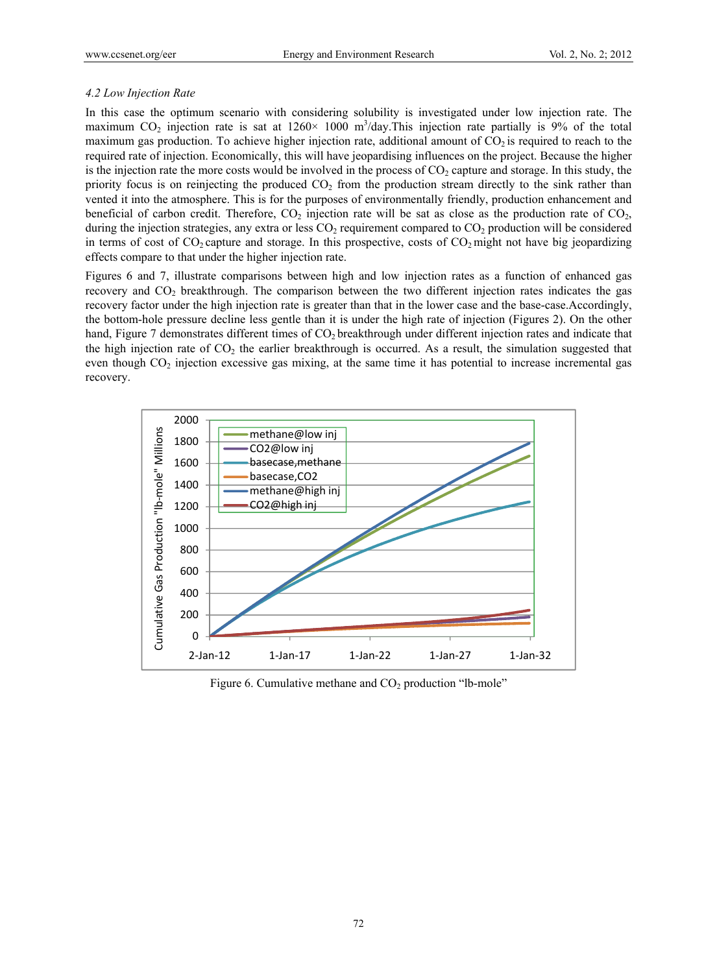#### *4.2 Low Injection Rate*

In this case the optimum scenario with considering solubility is investigated under low injection rate. The maximum CO<sub>2</sub> injection rate is sat at  $1260 \times 1000$  m<sup>3</sup>/day. This injection rate partially is 9% of the total maximum gas production. To achieve higher injection rate, additional amount of  $CO_2$  is required to reach to the required rate of injection. Economically, this will have jeopardising influences on the project. Because the higher is the injection rate the more costs would be involved in the process of  $CO<sub>2</sub>$  capture and storage. In this study, the priority focus is on reinjecting the produced  $CO<sub>2</sub>$  from the production stream directly to the sink rather than vented it into the atmosphere. This is for the purposes of environmentally friendly, production enhancement and beneficial of carbon credit. Therefore,  $CO<sub>2</sub>$  injection rate will be sat as close as the production rate of  $CO<sub>2</sub>$ , during the injection strategies, any extra or less  $CO<sub>2</sub>$  requirement compared to  $CO<sub>2</sub>$  production will be considered in terms of cost of  $CO_2$  capture and storage. In this prospective, costs of  $CO_2$  might not have big jeopardizing effects compare to that under the higher injection rate.

Figures 6 and 7, illustrate comparisons between high and low injection rates as a function of enhanced gas recovery and CO<sub>2</sub> breakthrough. The comparison between the two different injection rates indicates the gas recovery factor under the high injection rate is greater than that in the lower case and the base-case.Accordingly, the bottom-hole pressure decline less gentle than it is under the high rate of injection (Figures 2). On the other hand, Figure 7 demonstrates different times of CO<sub>2</sub> breakthrough under different injection rates and indicate that the high injection rate of  $CO<sub>2</sub>$  the earlier breakthrough is occurred. As a result, the simulation suggested that even though CO<sub>2</sub> injection excessive gas mixing, at the same time it has potential to increase incremental gas recovery.



Figure 6. Cumulative methane and  $CO<sub>2</sub>$  production "lb-mole"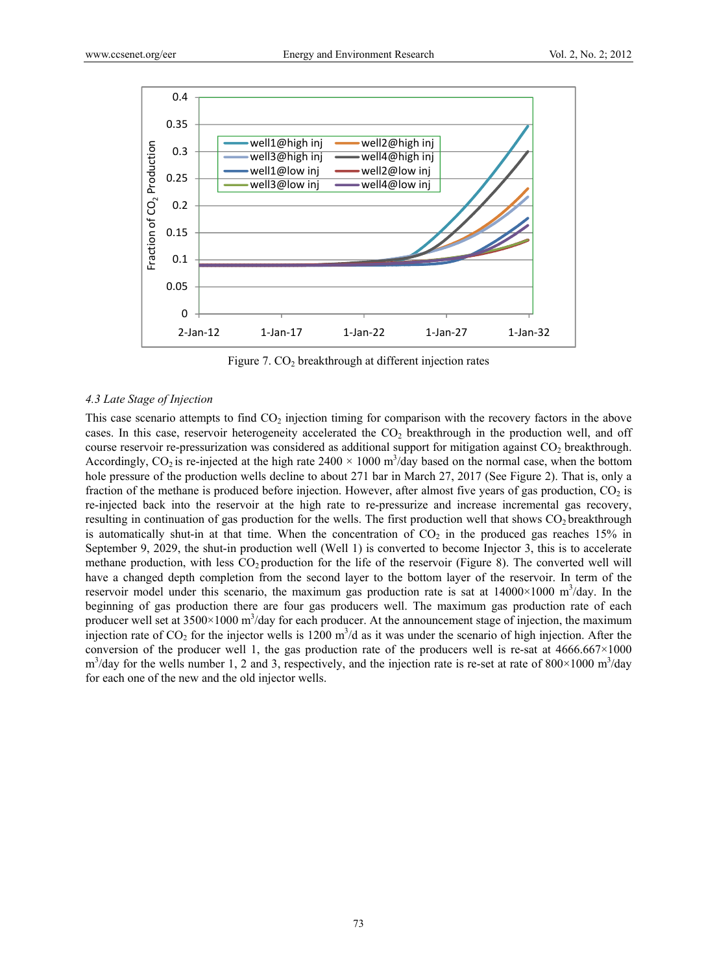

Figure 7.  $CO<sub>2</sub>$  breakthrough at different injection rates

#### *4.3 Late Stage of Injection*

This case scenario attempts to find  $CO<sub>2</sub>$  injection timing for comparison with the recovery factors in the above cases. In this case, reservoir heterogeneity accelerated the  $CO<sub>2</sub>$  breakthrough in the production well, and off course reservoir re-pressurization was considered as additional support for mitigation against  $CO<sub>2</sub>$  breakthrough. Accordingly, CO<sub>2</sub> is re-injected at the high rate  $2400 \times 1000$  m<sup>3</sup>/day based on the normal case, when the bottom hole pressure of the production wells decline to about 271 bar in March 27, 2017 (See Figure 2). That is, only a fraction of the methane is produced before injection. However, after almost five years of gas production,  $CO<sub>2</sub>$  is re-injected back into the reservoir at the high rate to re-pressurize and increase incremental gas recovery, resulting in continuation of gas production for the wells. The first production well that shows  $CO<sub>2</sub>$  breakthrough is automatically shut-in at that time. When the concentration of  $CO<sub>2</sub>$  in the produced gas reaches 15% in September 9, 2029, the shut-in production well (Well 1) is converted to become Injector 3, this is to accelerate methane production, with less  $CO<sub>2</sub>$  production for the life of the reservoir (Figure 8). The converted well will have a changed depth completion from the second layer to the bottom layer of the reservoir. In term of the reservoir model under this scenario, the maximum gas production rate is sat at  $14000\times1000$  m<sup>3</sup>/day. In the beginning of gas production there are four gas producers well. The maximum gas production rate of each producer well set at  $3500 \times 1000$  m<sup>3</sup>/day for each producer. At the announcement stage of injection, the maximum injection rate of  $CO_2$  for the injector wells is 1200 m<sup>3</sup>/d as it was under the scenario of high injection. After the conversion of the producer well 1, the gas production rate of the producers well is re-sat at  $4666.667 \times 1000$  $\text{m}^3$ /day for the wells number 1, 2 and 3, respectively, and the injection rate is re-set at rate of 800×1000 m<sup>3</sup>/day for each one of the new and the old injector wells.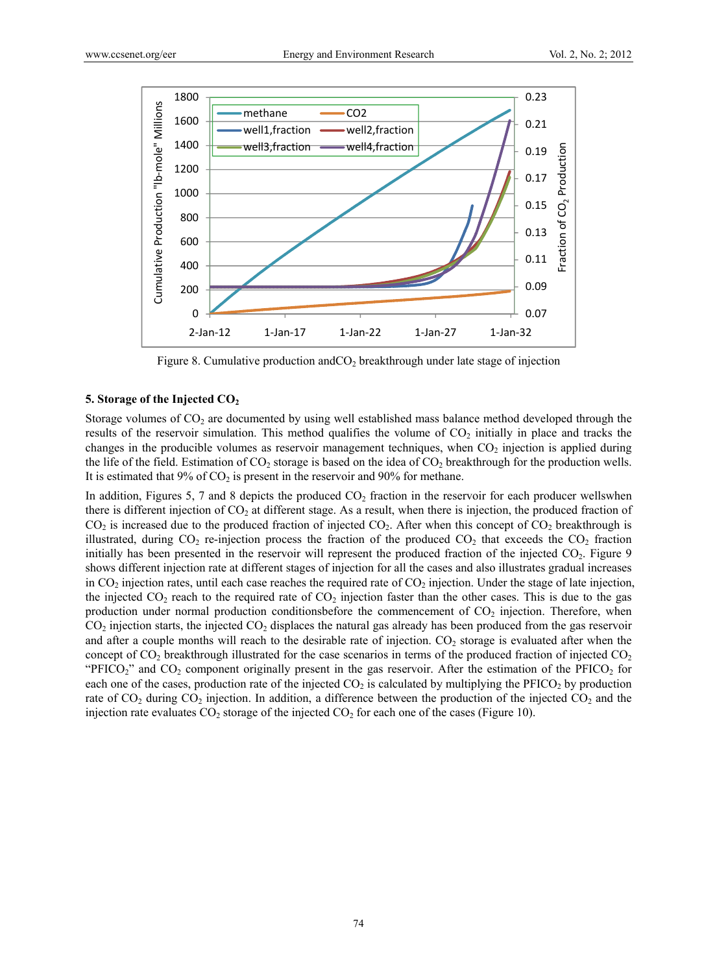

Figure 8. Cumulative production and  $CO<sub>2</sub>$  breakthrough under late stage of injection

#### **5. Storage of the Injected CO2**

Storage volumes of  $CO<sub>2</sub>$  are documented by using well established mass balance method developed through the results of the reservoir simulation. This method qualifies the volume of  $CO<sub>2</sub>$  initially in place and tracks the changes in the producible volumes as reservoir management techniques, when  $CO<sub>2</sub>$  injection is applied during the life of the field. Estimation of  $CO_2$  storage is based on the idea of  $CO_2$  breakthrough for the production wells. It is estimated that  $9\%$  of  $CO<sub>2</sub>$  is present in the reservoir and  $90\%$  for methane.

In addition, Figures 5, 7 and 8 depicts the produced  $CO<sub>2</sub>$  fraction in the reservoir for each producer wellswhen there is different injection of  $CO<sub>2</sub>$  at different stage. As a result, when there is injection, the produced fraction of  $CO<sub>2</sub>$  is increased due to the produced fraction of injected  $CO<sub>2</sub>$ . After when this concept of  $CO<sub>2</sub>$  breakthrough is illustrated, during  $CO_2$  re-injection process the fraction of the produced  $CO_2$  that exceeds the  $CO_2$  fraction initially has been presented in the reservoir will represent the produced fraction of the injected  $CO<sub>2</sub>$ . Figure 9 shows different injection rate at different stages of injection for all the cases and also illustrates gradual increases in  $CO<sub>2</sub>$  injection rates, until each case reaches the required rate of  $CO<sub>2</sub>$  injection. Under the stage of late injection, the injected  $CO_2$  reach to the required rate of  $CO_2$  injection faster than the other cases. This is due to the gas production under normal production conditionsbefore the commencement of  $CO<sub>2</sub>$  injection. Therefore, when  $CO<sub>2</sub>$  injection starts, the injected  $CO<sub>2</sub>$  displaces the natural gas already has been produced from the gas reservoir and after a couple months will reach to the desirable rate of injection.  $CO<sub>2</sub>$  storage is evaluated after when the concept of  $CO_2$  breakthrough illustrated for the case scenarios in terms of the produced fraction of injected  $CO_2$ "PFICO<sub>2</sub>" and CO<sub>2</sub> component originally present in the gas reservoir. After the estimation of the PFICO<sub>2</sub> for each one of the cases, production rate of the injected  $CO<sub>2</sub>$  is calculated by multiplying the PFICO<sub>2</sub> by production rate of  $CO_2$  during  $CO_2$  injection. In addition, a difference between the production of the injected  $CO_2$  and the injection rate evaluates  $CO_2$  storage of the injected  $CO_2$  for each one of the cases (Figure 10).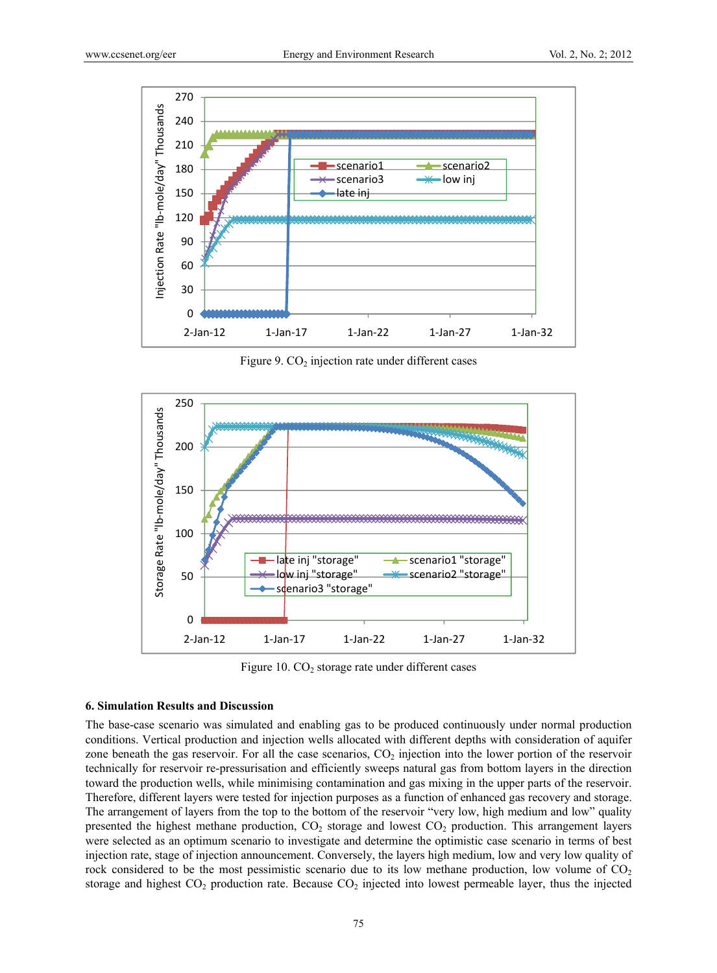

Figure 9.  $CO<sub>2</sub>$  injection rate under different cases



Figure 10.  $CO<sub>2</sub>$  storage rate under different cases

#### **6. Simulation Results and Discussion**

The base-case scenario was simulated and enabling gas to be produced continuously under normal production conditions. Vertical production and injection wells allocated with different depths with consideration of aquifer zone beneath the gas reservoir. For all the case scenarios,  $CO<sub>2</sub>$  injection into the lower portion of the reservoir technically for reservoir re-pressurisation and efficiently sweeps natural gas from bottom layers in the direction toward the production wells, while minimising contamination and gas mixing in the upper parts of the reservoir. Therefore, different layers were tested for injection purposes as a function of enhanced gas recovery and storage. The arrangement of layers from the top to the bottom of the reservoir "very low, high medium and low" quality presented the highest methane production,  $CO<sub>2</sub>$  storage and lowest  $CO<sub>2</sub>$  production. This arrangement layers were selected as an optimum scenario to investigate and determine the optimistic case scenario in terms of best injection rate, stage of injection announcement. Conversely, the layers high medium, low and very low quality of rock considered to be the most pessimistic scenario due to its low methane production, low volume of  $CO<sub>2</sub>$ storage and highest  $CO_2$  production rate. Because  $CO_2$  injected into lowest permeable layer, thus the injected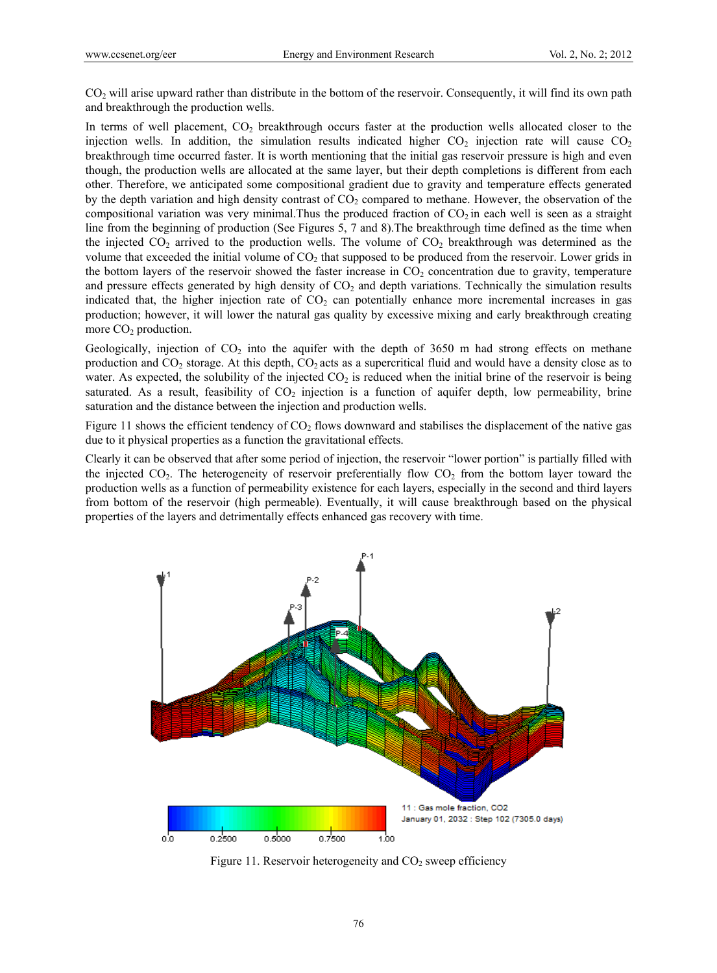CO<sub>2</sub> will arise upward rather than distribute in the bottom of the reservoir. Consequently, it will find its own path and breakthrough the production wells.

In terms of well placement,  $CO<sub>2</sub>$  breakthrough occurs faster at the production wells allocated closer to the injection wells. In addition, the simulation results indicated higher  $CO<sub>2</sub>$  injection rate will cause  $CO<sub>2</sub>$ breakthrough time occurred faster. It is worth mentioning that the initial gas reservoir pressure is high and even though, the production wells are allocated at the same layer, but their depth completions is different from each other. Therefore, we anticipated some compositional gradient due to gravity and temperature effects generated by the depth variation and high density contrast of  $CO<sub>2</sub>$  compared to methane. However, the observation of the compositional variation was very minimal. Thus the produced fraction of  $CO<sub>2</sub>$  in each well is seen as a straight line from the beginning of production (See Figures 5, 7 and 8).The breakthrough time defined as the time when the injected  $CO<sub>2</sub>$  arrived to the production wells. The volume of  $CO<sub>2</sub>$  breakthrough was determined as the volume that exceeded the initial volume of  $CO<sub>2</sub>$  that supposed to be produced from the reservoir. Lower grids in the bottom layers of the reservoir showed the faster increase in  $CO<sub>2</sub>$  concentration due to gravity, temperature and pressure effects generated by high density of  $CO<sub>2</sub>$  and depth variations. Technically the simulation results indicated that, the higher injection rate of  $CO<sub>2</sub>$  can potentially enhance more incremental increases in gas production; however, it will lower the natural gas quality by excessive mixing and early breakthrough creating more  $CO<sub>2</sub>$  production.

Geologically, injection of  $CO<sub>2</sub>$  into the aquifer with the depth of 3650 m had strong effects on methane production and  $CO_2$  storage. At this depth,  $CO_2$  acts as a supercritical fluid and would have a density close as to water. As expected, the solubility of the injected  $CO<sub>2</sub>$  is reduced when the initial brine of the reservoir is being saturated. As a result, feasibility of  $CO<sub>2</sub>$  injection is a function of aquifer depth, low permeability, brine saturation and the distance between the injection and production wells.

Figure 11 shows the efficient tendency of  $CO<sub>2</sub>$  flows downward and stabilises the displacement of the native gas due to it physical properties as a function the gravitational effects.

Clearly it can be observed that after some period of injection, the reservoir "lower portion" is partially filled with the injected  $CO<sub>2</sub>$ . The heterogeneity of reservoir preferentially flow  $CO<sub>2</sub>$  from the bottom layer toward the production wells as a function of permeability existence for each layers, especially in the second and third layers from bottom of the reservoir (high permeable). Eventually, it will cause breakthrough based on the physical properties of the layers and detrimentally effects enhanced gas recovery with time.



Figure 11. Reservoir heterogeneity and  $CO<sub>2</sub>$  sweep efficiency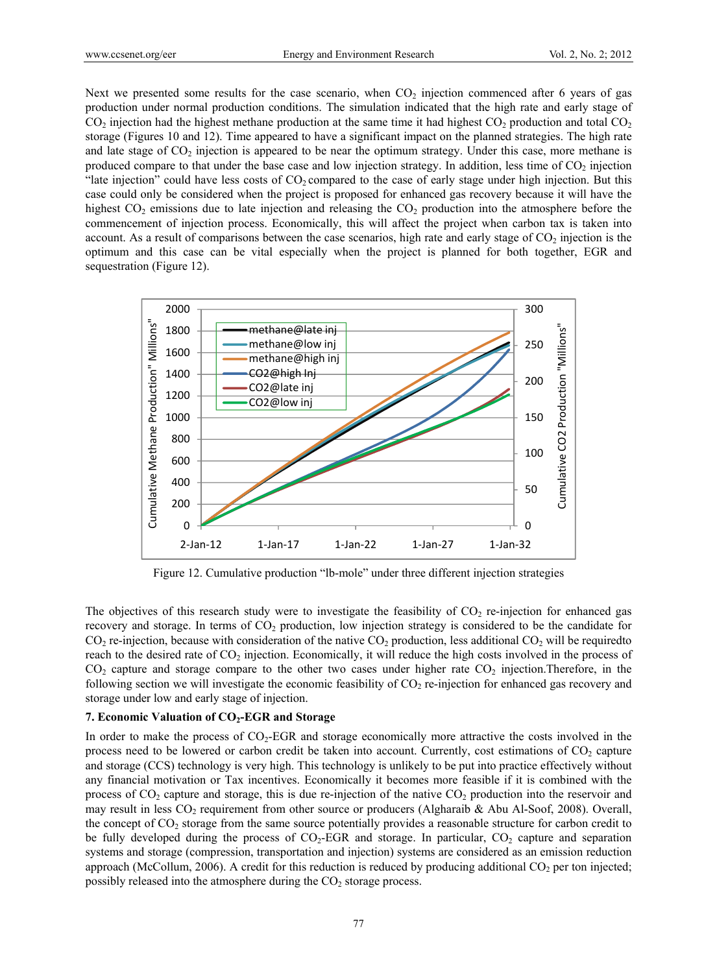Next we presented some results for the case scenario, when  $CO<sub>2</sub>$  injection commenced after 6 years of gas production under normal production conditions. The simulation indicated that the high rate and early stage of  $CO<sub>2</sub>$  injection had the highest methane production at the same time it had highest  $CO<sub>2</sub>$  production and total  $CO<sub>2</sub>$ storage (Figures 10 and 12). Time appeared to have a significant impact on the planned strategies. The high rate and late stage of  $CO<sub>2</sub>$  injection is appeared to be near the optimum strategy. Under this case, more methane is produced compare to that under the base case and low injection strategy. In addition, less time of  $CO<sub>2</sub>$  injection "late injection" could have less costs of  $CO<sub>2</sub>$  compared to the case of early stage under high injection. But this case could only be considered when the project is proposed for enhanced gas recovery because it will have the highest  $CO<sub>2</sub>$  emissions due to late injection and releasing the  $CO<sub>2</sub>$  production into the atmosphere before the commencement of injection process. Economically, this will affect the project when carbon tax is taken into account. As a result of comparisons between the case scenarios, high rate and early stage of  $CO<sub>2</sub>$  injection is the optimum and this case can be vital especially when the project is planned for both together, EGR and sequestration (Figure 12).



Figure 12. Cumulative production "lb-mole" under three different injection strategies

The objectives of this research study were to investigate the feasibility of  $CO<sub>2</sub>$  re-injection for enhanced gas recovery and storage. In terms of  $CO<sub>2</sub>$  production, low injection strategy is considered to be the candidate for  $CO<sub>2</sub>$  re-injection, because with consideration of the native  $CO<sub>2</sub>$  production, less additional  $CO<sub>2</sub>$  will be requiredto reach to the desired rate of  $CO<sub>2</sub>$  injection. Economically, it will reduce the high costs involved in the process of  $CO<sub>2</sub>$  capture and storage compare to the other two cases under higher rate  $CO<sub>2</sub>$  injection. Therefore, in the following section we will investigate the economic feasibility of  $CO<sub>2</sub>$  re-injection for enhanced gas recovery and storage under low and early stage of injection.

# **7. Economic Valuation of CO2-EGR and Storage**

In order to make the process of  $CO<sub>2</sub>$ -EGR and storage economically more attractive the costs involved in the process need to be lowered or carbon credit be taken into account. Currently, cost estimations of  $CO<sub>2</sub>$  capture and storage (CCS) technology is very high. This technology is unlikely to be put into practice effectively without any financial motivation or Tax incentives. Economically it becomes more feasible if it is combined with the process of  $CO<sub>2</sub>$  capture and storage, this is due re-injection of the native  $CO<sub>2</sub>$  production into the reservoir and may result in less CO2 requirement from other source or producers (Algharaib & Abu Al-Soof, 2008). Overall, the concept of  $CO<sub>2</sub>$  storage from the same source potentially provides a reasonable structure for carbon credit to be fully developed during the process of  $CO<sub>2</sub>-EGR$  and storage. In particular,  $CO<sub>2</sub>$  capture and separation systems and storage (compression, transportation and injection) systems are considered as an emission reduction approach (McCollum, 2006). A credit for this reduction is reduced by producing additional  $CO<sub>2</sub>$  per ton injected; possibly released into the atmosphere during the  $CO<sub>2</sub>$  storage process.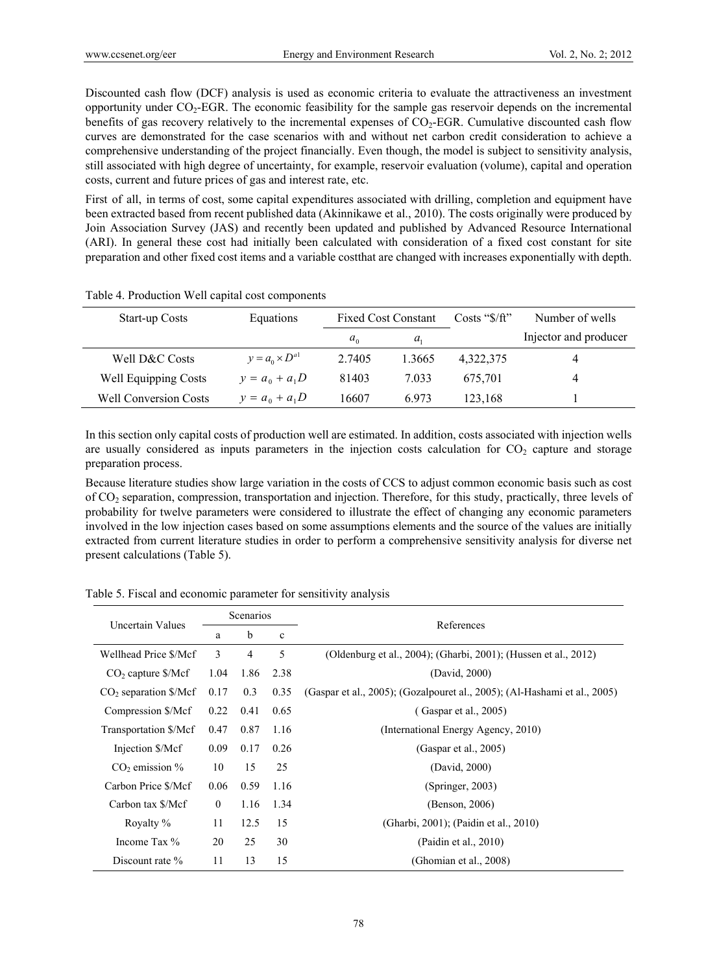Discounted cash flow (DCF) analysis is used as economic criteria to evaluate the attractiveness an investment opportunity under  $CO<sub>2</sub>-EGR$ . The economic feasibility for the sample gas reservoir depends on the incremental benefits of gas recovery relatively to the incremental expenses of  $CO<sub>2</sub>$ -EGR. Cumulative discounted cash flow curves are demonstrated for the case scenarios with and without net carbon credit consideration to achieve a comprehensive understanding of the project financially. Even though, the model is subject to sensitivity analysis, still associated with high degree of uncertainty, for example, reservoir evaluation (volume), capital and operation costs, current and future prices of gas and interest rate, etc.

First of all, in terms of cost, some capital expenditures associated with drilling, completion and equipment have been extracted based from recent published data (Akinnikawe et al., 2010). The costs originally were produced by Join Association Survey (JAS) and recently been updated and published by Advanced Resource International (ARI). In general these cost had initially been calculated with consideration of a fixed cost constant for site preparation and other fixed cost items and a variable costthat are changed with increases exponentially with depth.

| Start-up Costs               | Equations                | <b>Fixed Cost Constant</b> |         |           |                       | Costs " $\frac{f}{f}$ " | Number of wells |
|------------------------------|--------------------------|----------------------------|---------|-----------|-----------------------|-------------------------|-----------------|
|                              |                          | $a_0$                      | $a_{1}$ |           | Injector and producer |                         |                 |
| Well D&C Costs               | $y = a_0 \times D^{a_1}$ | 2.7405                     | 1.3665  | 4,322,375 | 4                     |                         |                 |
| <b>Well Equipping Costs</b>  | $y = a_0 + a_1D$         | 81403                      | 7.033   | 675,701   | 4                     |                         |                 |
| <b>Well Conversion Costs</b> | $y = a_0 + a_1D$         | 16607                      | 6.973   | 123,168   |                       |                         |                 |

Table 4. Production Well capital cost components

In this section only capital costs of production well are estimated. In addition, costs associated with injection wells are usually considered as inputs parameters in the injection costs calculation for  $CO<sub>2</sub>$  capture and storage preparation process.

Because literature studies show large variation in the costs of CCS to adjust common economic basis such as cost of CO2 separation, compression, transportation and injection. Therefore, for this study, practically, three levels of probability for twelve parameters were considered to illustrate the effect of changing any economic parameters involved in the low injection cases based on some assumptions elements and the source of the values are initially extracted from current literature studies in order to perform a comprehensive sensitivity analysis for diverse net present calculations (Table 5).

|                         | Scenarios<br>Uncertain Values |                |              | References                                                                |  |
|-------------------------|-------------------------------|----------------|--------------|---------------------------------------------------------------------------|--|
|                         | a                             | b              | $\mathbf{c}$ |                                                                           |  |
| Wellhead Price \$/Mcf   | 3                             | $\overline{4}$ | 5            | (Oldenburg et al., 2004); (Gharbi, 2001); (Hussen et al., 2012)           |  |
| $CO2$ capture \$/Mcf    | 1.04                          | 1.86           | 2.38         | (David, 2000)                                                             |  |
| $CO2$ separation \$/Mcf | 0.17                          | 0.3            | 0.35         | (Gaspar et al., 2005); (Gozalpouret al., 2005); (Al-Hashami et al., 2005) |  |
| Compression \$/Mcf      | 0.22                          | 0.41           | 0.65         | (Gaspar et al., 2005)                                                     |  |
| Transportation \$/Mcf   | 0.47                          | 0.87           | 1.16         | (International Energy Agency, 2010)                                       |  |
| Injection \$/Mcf        | 0.09                          | 0.17           | 0.26         | (Gaspar et al., 2005)                                                     |  |
| $CO2$ emission %        | 10                            | 15             | 25           | (David, 2000)                                                             |  |
| Carbon Price \$/Mcf     | 0.06                          | 0.59           | 1.16         | (Springer, 2003)                                                          |  |
| Carbon tax \$/Mcf       | $\theta$                      | 1.16           | 1.34         | (Benson, 2006)                                                            |  |
| Royalty %               | 11                            | 12.5           | 15           | (Gharbi, 2001); (Paidin et al., 2010)                                     |  |
| Income Tax %            | 20                            | 25             | 30           | (Paidin et al., 2010)                                                     |  |
| Discount rate %         | 11                            | 13             | 15           | (Ghomian et al., 2008)                                                    |  |

Table 5. Fiscal and economic parameter for sensitivity analysis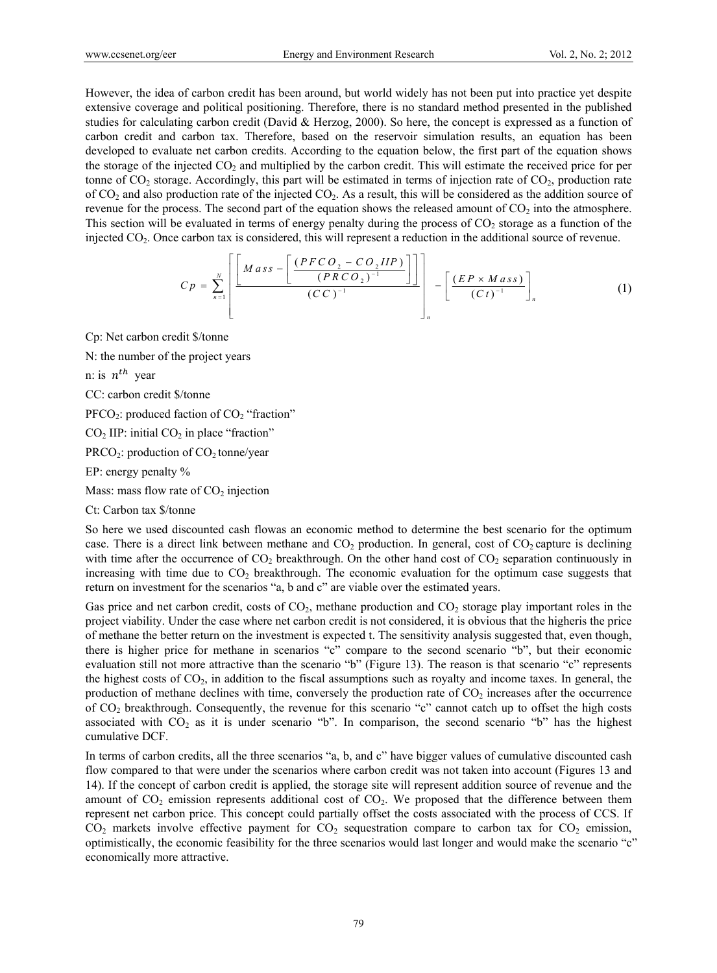However, the idea of carbon credit has been around, but world widely has not been put into practice yet despite extensive coverage and political positioning. Therefore, there is no standard method presented in the published studies for calculating carbon credit (David & Herzog, 2000). So here, the concept is expressed as a function of carbon credit and carbon tax. Therefore, based on the reservoir simulation results, an equation has been developed to evaluate net carbon credits. According to the equation below, the first part of the equation shows the storage of the injected  $CO<sub>2</sub>$  and multiplied by the carbon credit. This will estimate the received price for per tonne of  $CO_2$  storage. Accordingly, this part will be estimated in terms of injection rate of  $CO_2$ , production rate of  $CO<sub>2</sub>$  and also production rate of the injected  $CO<sub>2</sub>$ . As a result, this will be considered as the addition source of revenue for the process. The second part of the equation shows the released amount of  $CO<sub>2</sub>$  into the atmosphere. This section will be evaluated in terms of energy penalty during the process of  $CO<sub>2</sub>$  storage as a function of the injected CO2. Once carbon tax is considered, this will represent a reduction in the additional source of revenue.

$$
C p = \sum_{n=1}^{N} \left[ \frac{M \, ass - \left[ \frac{(PFCO_2 - CO_2 IIP)}{(PRCO_2)^{-1}} \right]}{(CC)^{-1}} \right]_n - \left[ \frac{(EP \times Mass)}{(Ct)^{-1}} \right]_n \tag{1}
$$

Cp: Net carbon credit \$/tonne

N: the number of the project years

n: is  $n^{th}$  year

CC: carbon credit \$/tonne

 $PFCO<sub>2</sub>$ : produced faction of  $CO<sub>2</sub>$  "fraction"

 $CO<sub>2</sub>$  IIP: initial  $CO<sub>2</sub>$  in place "fraction"

 $PRCO<sub>2</sub>$ : production of  $CO<sub>2</sub>$  tonne/year

EP: energy penalty %

Mass: mass flow rate of  $CO<sub>2</sub>$  injection

Ct: Carbon tax \$/tonne

So here we used discounted cash flowas an economic method to determine the best scenario for the optimum case. There is a direct link between methane and  $CO<sub>2</sub>$  production. In general, cost of  $CO<sub>2</sub>$  capture is declining with time after the occurrence of  $CO<sub>2</sub>$  breakthrough. On the other hand cost of  $CO<sub>2</sub>$  separation continuously in increasing with time due to  $CO<sub>2</sub>$  breakthrough. The economic evaluation for the optimum case suggests that return on investment for the scenarios "a, b and c" are viable over the estimated years.

Gas price and net carbon credit, costs of  $CO<sub>2</sub>$ , methane production and  $CO<sub>2</sub>$  storage play important roles in the project viability. Under the case where net carbon credit is not considered, it is obvious that the higheris the price of methane the better return on the investment is expected t. The sensitivity analysis suggested that, even though, there is higher price for methane in scenarios "c" compare to the second scenario "b", but their economic evaluation still not more attractive than the scenario "b" (Figure 13). The reason is that scenario "c" represents the highest costs of  $CO<sub>2</sub>$ , in addition to the fiscal assumptions such as royalty and income taxes. In general, the production of methane declines with time, conversely the production rate of  $CO<sub>2</sub>$  increases after the occurrence of CO2 breakthrough. Consequently, the revenue for this scenario "c" cannot catch up to offset the high costs associated with  $CO<sub>2</sub>$  as it is under scenario "b". In comparison, the second scenario "b" has the highest cumulative DCF.

In terms of carbon credits, all the three scenarios "a, b, and c" have bigger values of cumulative discounted cash flow compared to that were under the scenarios where carbon credit was not taken into account (Figures 13 and 14). If the concept of carbon credit is applied, the storage site will represent addition source of revenue and the amount of  $CO<sub>2</sub>$  emission represents additional cost of  $CO<sub>2</sub>$ . We proposed that the difference between them represent net carbon price. This concept could partially offset the costs associated with the process of CCS. If  $CO<sub>2</sub>$  markets involve effective payment for  $CO<sub>2</sub>$  sequestration compare to carbon tax for  $CO<sub>2</sub>$  emission, optimistically, the economic feasibility for the three scenarios would last longer and would make the scenario "c" economically more attractive.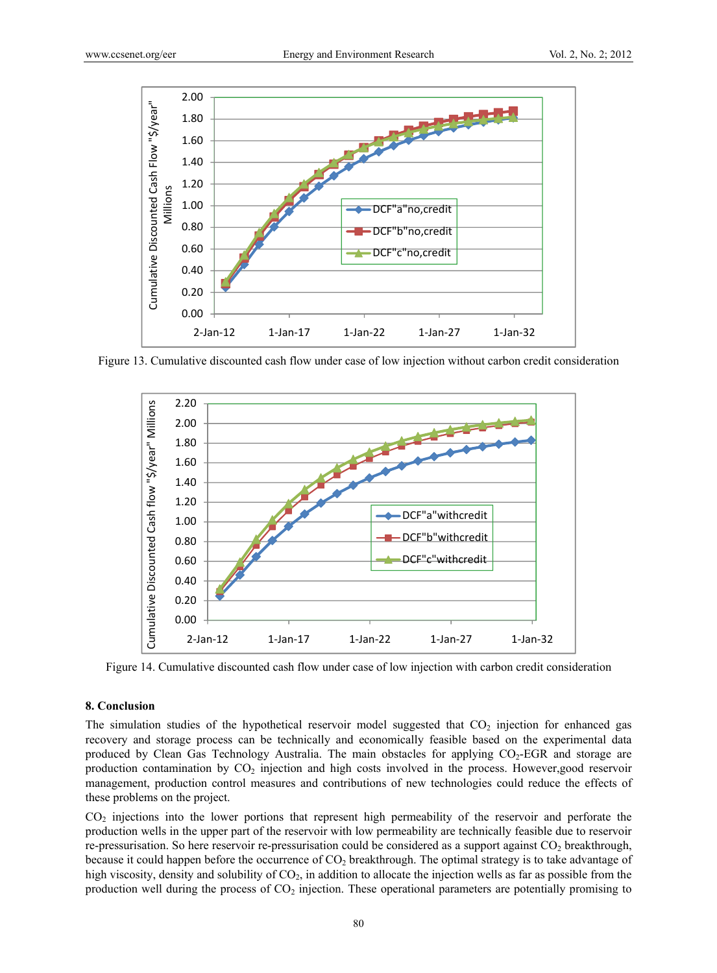

Figure 13. Cumulative discounted cash flow under case of low injection without carbon credit consideration



Figure 14. Cumulative discounted cash flow under case of low injection with carbon credit consideration

## **8. Conclusion**

The simulation studies of the hypothetical reservoir model suggested that  $CO<sub>2</sub>$  injection for enhanced gas recovery and storage process can be technically and economically feasible based on the experimental data produced by Clean Gas Technology Australia. The main obstacles for applying  $CO<sub>2</sub>$ -EGR and storage are production contamination by  $CO<sub>2</sub>$  injection and high costs involved in the process. However,good reservoir management, production control measures and contributions of new technologies could reduce the effects of these problems on the project.

CO<sub>2</sub> injections into the lower portions that represent high permeability of the reservoir and perforate the production wells in the upper part of the reservoir with low permeability are technically feasible due to reservoir re-pressurisation. So here reservoir re-pressurisation could be considered as a support against  $CO<sub>2</sub>$  breakthrough, because it could happen before the occurrence of  $CO<sub>2</sub>$  breakthrough. The optimal strategy is to take advantage of high viscosity, density and solubility of CO<sub>2</sub>, in addition to allocate the injection wells as far as possible from the production well during the process of  $CO<sub>2</sub>$  injection. These operational parameters are potentially promising to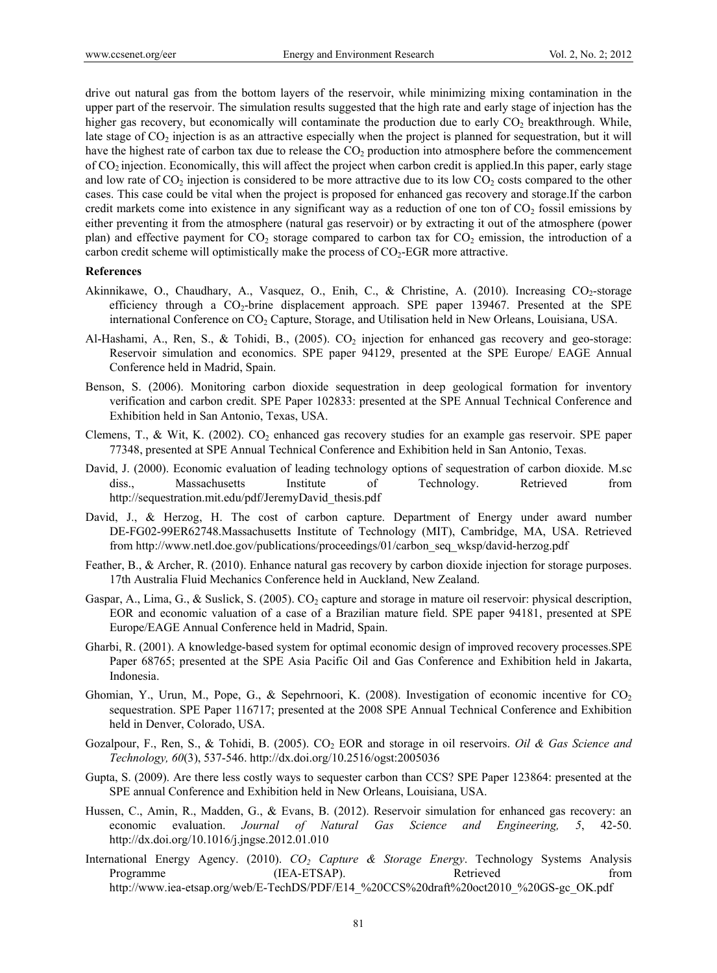drive out natural gas from the bottom layers of the reservoir, while minimizing mixing contamination in the upper part of the reservoir. The simulation results suggested that the high rate and early stage of injection has the higher gas recovery, but economically will contaminate the production due to early  $CO<sub>2</sub>$  breakthrough. While, late stage of  $CO<sub>2</sub>$  injection is as an attractive especially when the project is planned for sequestration, but it will have the highest rate of carbon tax due to release the  $CO<sub>2</sub>$  production into atmosphere before the commencement of CO2 injection. Economically, this will affect the project when carbon credit is applied.In this paper, early stage and low rate of  $CO_2$  injection is considered to be more attractive due to its low  $CO_2$  costs compared to the other cases. This case could be vital when the project is proposed for enhanced gas recovery and storage.If the carbon credit markets come into existence in any significant way as a reduction of one ton of  $CO<sub>2</sub>$  fossil emissions by either preventing it from the atmosphere (natural gas reservoir) or by extracting it out of the atmosphere (power plan) and effective payment for  $CO_2$  storage compared to carbon tax for  $CO_2$  emission, the introduction of a carbon credit scheme will optimistically make the process of  $CO<sub>2</sub>$ -EGR more attractive.

#### **References**

- Akinnikawe, O., Chaudhary, A., Vasquez, O., Enih, C., & Christine, A. (2010). Increasing  $CO_2$ -storage efficiency through a  $CO<sub>2</sub>$ -brine displacement approach. SPE paper 139467. Presented at the SPE international Conference on CO<sub>2</sub> Capture, Storage, and Utilisation held in New Orleans, Louisiana, USA.
- Al-Hashami, A., Ren, S., & Tohidi, B., (2005). CO<sub>2</sub> injection for enhanced gas recovery and geo-storage: Reservoir simulation and economics. SPE paper 94129, presented at the SPE Europe/ EAGE Annual Conference held in Madrid, Spain.
- Benson, S. (2006). Monitoring carbon dioxide sequestration in deep geological formation for inventory verification and carbon credit. SPE Paper 102833: presented at the SPE Annual Technical Conference and Exhibition held in San Antonio, Texas, USA.
- Clemens, T., & Wit, K. (2002).  $CO<sub>2</sub>$  enhanced gas recovery studies for an example gas reservoir. SPE paper 77348, presented at SPE Annual Technical Conference and Exhibition held in San Antonio, Texas.
- David, J. (2000). Economic evaluation of leading technology options of sequestration of carbon dioxide. M.sc diss., Massachusetts Institute of Technology. Retrieved from http://sequestration.mit.edu/pdf/JeremyDavid\_thesis.pdf
- David, J., & Herzog, H. The cost of carbon capture. Department of Energy under award number DE-FG02-99ER62748.Massachusetts Institute of Technology (MIT), Cambridge, MA, USA. Retrieved from http://www.netl.doe.gov/publications/proceedings/01/carbon\_seq\_wksp/david-herzog.pdf
- Feather, B., & Archer, R. (2010). Enhance natural gas recovery by carbon dioxide injection for storage purposes. 17th Australia Fluid Mechanics Conference held in Auckland, New Zealand.
- Gaspar, A., Lima, G., & Suslick, S. (2005).  $CO_2$  capture and storage in mature oil reservoir: physical description, EOR and economic valuation of a case of a Brazilian mature field. SPE paper 94181, presented at SPE Europe/EAGE Annual Conference held in Madrid, Spain.
- Gharbi, R. (2001). A knowledge-based system for optimal economic design of improved recovery processes.SPE Paper 68765; presented at the SPE Asia Pacific Oil and Gas Conference and Exhibition held in Jakarta, Indonesia.
- Ghomian, Y., Urun, M., Pope, G., & Sepehrnoori, K. (2008). Investigation of economic incentive for  $CO<sub>2</sub>$ sequestration. SPE Paper 116717; presented at the 2008 SPE Annual Technical Conference and Exhibition held in Denver, Colorado, USA.
- Gozalpour, F., Ren, S., & Tohidi, B. (2005). CO2 EOR and storage in oil reservoirs. *Oil & Gas Science and Technology, 60*(3), 537-546. http://dx.doi.org/10.2516/ogst:2005036
- Gupta, S. (2009). Are there less costly ways to sequester carbon than CCS? SPE Paper 123864: presented at the SPE annual Conference and Exhibition held in New Orleans, Louisiana, USA.
- Hussen, C., Amin, R., Madden, G., & Evans, B. (2012). Reservoir simulation for enhanced gas recovery: an economic evaluation. *Journal of Natural Gas Science and Engineering, 5*, 42-50. http://dx.doi.org/10.1016/j.jngse.2012.01.010
- International Energy Agency. (2010). *CO<sub>2</sub> Capture & Storage Energy*. Technology Systems Analysis Programme (IEA-ETSAP). Retrieved from http://www.iea-etsap.org/web/E-TechDS/PDF/E14\_%20CCS%20draft%20oct2010\_%20GS-gc\_OK.pdf